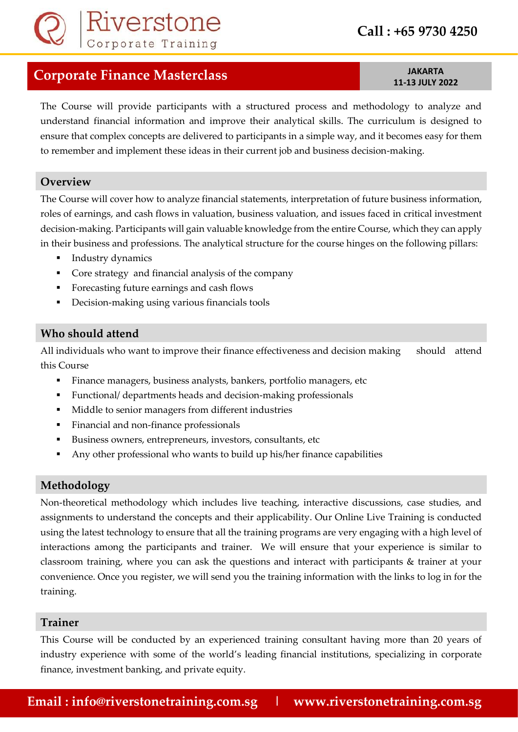

# **11-13 JULY 2022**

The Course will provide participants with a structured process and methodology to analyze and understand financial information and improve their analytical skills. The curriculum is designed to ensure that complex concepts are delivered to participants in a simple way, and it becomes easy for them to remember and implement these ideas in their current job and business decision-making.

#### **Overview**

The Course will cover how to analyze financial statements, interpretation of future business information, roles of earnings, and cash flows in valuation, business valuation, and issues faced in critical investment decision-making. Participants will gain valuable knowledge from the entire Course, which they can apply in their business and professions. The analytical structure for the course hinges on the following pillars:

- Industry dynamics
- Core strategy and financial analysis of the company
- Forecasting future earnings and cash flows
- **•** Decision-making using various financials tools

#### **Who should attend**

All individuals who want to improve their finance effectiveness and decision making should attend this Course

- Finance managers, business analysts, bankers, portfolio managers, etc
- Functional/ departments heads and decision-making professionals
- Middle to senior managers from different industries
- Financial and non-finance professionals
- Business owners, entrepreneurs, investors, consultants, etc.
- Any other professional who wants to build up his/her finance capabilities

#### **Methodology**

Non-theoretical methodology which includes live teaching, interactive discussions, case studies, and assignments to understand the concepts and their applicability. Our Online Live Training is conducted using the latest technology to ensure that all the training programs are very engaging with a high level of interactions among the participants and trainer. We will ensure that your experience is similar to classroom training, where you can ask the questions and interact with participants & trainer at your convenience. Once you register, we will send you the training information with the links to log in for the training.

#### **Trainer**

This Course will be conducted by an experienced training consultant having more than 20 years of industry experience with some of the world's leading financial institutions, specializing in corporate finance, investment banking, and private equity.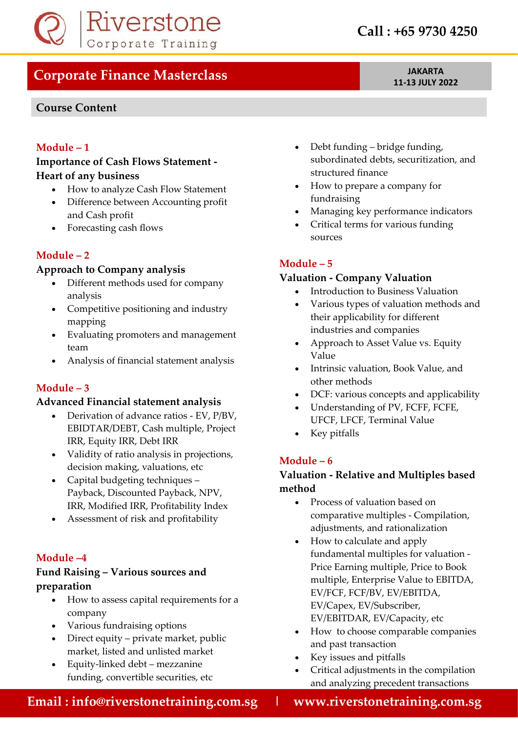

# **Course Content**

**11-13 JULY 2022**

# **Module – 1**

### **Importance of Cash Flows Statement - Heart of any business**

- How to analyze Cash Flow Statement
- Difference between Accounting profit and Cash profit
- Forecasting cash flows

# **Module – 2**

### **Approach to Company analysis**

- Different methods used for company analysis
- Competitive positioning and industry mapping
- Evaluating promoters and management team
- Analysis of financial statement analysis

# **Module – 3**

#### **Advanced Financial statement analysis**

- Derivation of advance ratios EV, P/BV, EBIDTAR/DEBT, Cash multiple, Project IRR, Equity IRR, Debt IRR
- Validity of ratio analysis in projections, decision making, valuations, etc
- Capital budgeting techniques Payback, Discounted Payback, NPV, IRR, Modified IRR, Profitability Index
- Assessment of risk and profitability

# **Module –4**

# **Fund Raising – Various sources and preparation**

- How to assess capital requirements for a company
- Various fundraising options
- Direct equity private market, public market, listed and unlisted market
- Equity-linked debt mezzanine funding, convertible securities, etc
- Debt funding bridge funding, subordinated debts, securitization, and structured finance
- How to prepare a company for fundraising
- Managing key performance indicators
- Critical terms for various funding sources

# **Module – 5**

# **Valuation - Company Valuation**

- Introduction to Business Valuation
- Various types of valuation methods and their applicability for different industries and companies
- Approach to Asset Value vs. Equity Value
- Intrinsic valuation, Book Value, and other methods
- DCF: various concepts and applicability
- Understanding of PV, FCFF, FCFE, UFCF, LFCF, Terminal Value
- Key pitfalls

# **Module – 6**

# **Valuation - Relative and Multiples based method**

- Process of valuation based on comparative multiples - Compilation, adjustments, and rationalization
- How to calculate and apply fundamental multiples for valuation - Price Earning multiple, Price to Book multiple, Enterprise Value to EBITDA, EV/FCF, FCF/BV, EV/EBITDA, EV/Capex, EV/Subscriber, EV/EBITDAR, EV/Capacity, etc
- How to choose comparable companies and past transaction
- Key issues and pitfalls
- Critical adjustments in the compilation and analyzing precedent transactions

 **Email : info@riverstonetraining.com.sg | www.riverstonetraining.com.sg**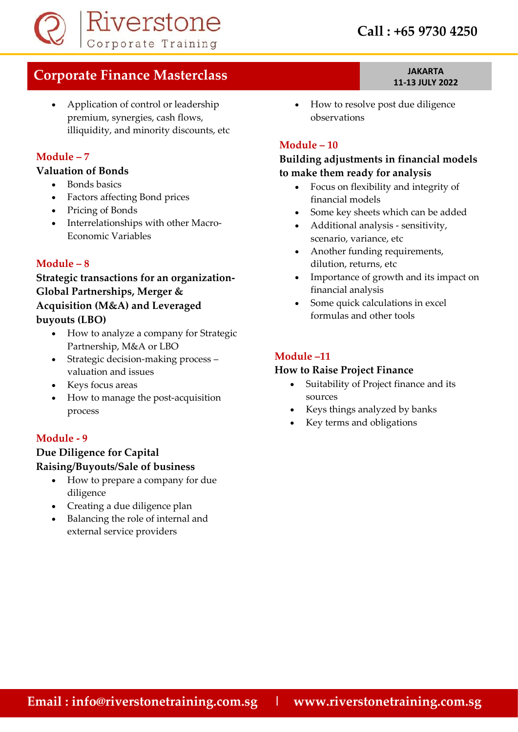

• Application of control or leadership premium, synergies, cash flows, illiquidity, and minority discounts, etc

#### **Module – 7**

#### **Valuation of Bonds**

- Bonds basics
- Factors affecting Bond prices
- Pricing of Bonds
- Interrelationships with other Macro-Economic Variables

#### **Module – 8**

# **Strategic transactions for an organization-Global Partnerships, Merger & Acquisition (M&A) and Leveraged buyouts (LBO)**

- How to analyze a company for Strategic Partnership, M&A or LBO
- Strategic decision-making process valuation and issues
- Keys focus areas
- How to manage the post-acquisition process

#### **Module - 9**

### **Due Diligence for Capital Raising/Buyouts/Sale of business**

- How to prepare a company for due diligence
- Creating a due diligence plan
- Balancing the role of internal and external service providers

• How to resolve post due diligence observations

### **Module – 10**

# **Building adjustments in financial models to make them ready for analysis**

- Focus on flexibility and integrity of financial models
- Some key sheets which can be added
- Additional analysis sensitivity, scenario, variance, etc
- Another funding requirements, dilution, returns, etc
- Importance of growth and its impact on financial analysis
- Some quick calculations in excel formulas and other tools

### **Module –11**

#### **How to Raise Project Finance**

- Suitability of Project finance and its sources
- Keys things analyzed by banks
- Key terms and obligations

# **11-13 JULY 2022**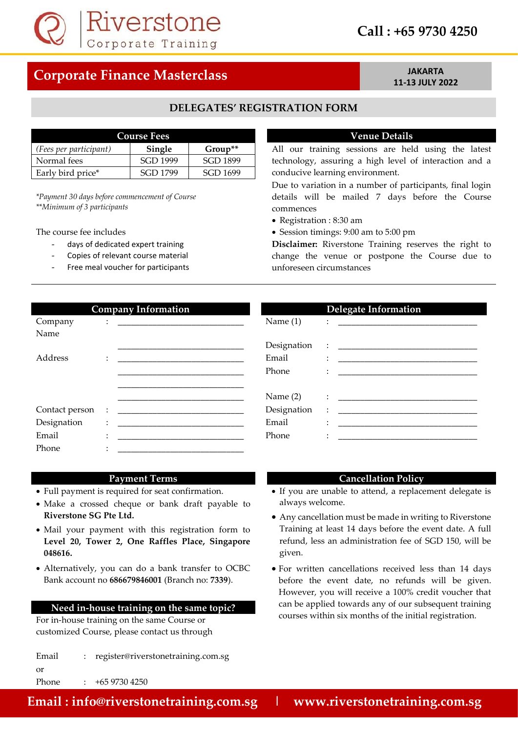

# **Call : +65 9730 4250**

# **Corporate Finance Masterclass** *JAKARTA*

# **11-13 JULY 2022**

#### **DELEGATES' REGISTRATION FORM**

| <b>Course Fees</b>     |          |           |  |
|------------------------|----------|-----------|--|
| (Fees per participant) | Single   | $Group**$ |  |
| Normal fees            | SGD 1999 | SGD 1899  |  |
| Early bird price*      | SGD 1799 | SGD 1699  |  |

*\*Payment 30 days before commencement of Course \*\*Minimum of 3 participants*

- 
- Copies of relevant course material
- Free meal voucher for participants

#### **Venue Details**

All our training sessions are held using the latest technology, assuring a high level of interaction and a conducive learning environment.

Due to variation in a number of participants, final login details will be mailed 7 days before the Course commences

- Registration : 8:30 am
- The course fee includes Session timings: 9:00 am to 5:00 pm

days of dedicated expert training **Disclaimer:** Riverstone Training reserves the right to change the venue or postpone the Course due to unforeseen circumstances

|                | <b>Company Information</b>                                                                                                                                                                                                             |             | <b>Delegate Information</b>                                                                                                                                                                                                            |
|----------------|----------------------------------------------------------------------------------------------------------------------------------------------------------------------------------------------------------------------------------------|-------------|----------------------------------------------------------------------------------------------------------------------------------------------------------------------------------------------------------------------------------------|
| Company        | $\ddot{\hspace{1cm}}$ . The contraction of the contract of the contract of the contract of the contract of the contract of the contract of the contract of the contract of the contract of the contract of the contract of the contrac | Name $(1)$  |                                                                                                                                                                                                                                        |
| Name           |                                                                                                                                                                                                                                        |             |                                                                                                                                                                                                                                        |
|                |                                                                                                                                                                                                                                        | Designation |                                                                                                                                                                                                                                        |
| Address        |                                                                                                                                                                                                                                        | Email       | $\ddot{\cdot}$ . The contract of the contract of the contract of the contract of the contract of the contract of the contract of the contract of the contract of the contract of the contract of the contract of the contract of th    |
|                |                                                                                                                                                                                                                                        | Phone       | $\ddot{\cdot}$ . The contract of the contract of the contract of the contract of the contract of the contract of the contract of the contract of the contract of the contract of the contract of the contract of the contract of th    |
|                |                                                                                                                                                                                                                                        |             |                                                                                                                                                                                                                                        |
|                |                                                                                                                                                                                                                                        | Name $(2)$  | $\ddot{\phantom{a}}$ . The contraction of the contract of the contract of the contract of the contract of the contract of the contract of the contract of the contract of the contract of the contract of the contract of the contract |
| Contact person | $\mathbb{R}^n$                                                                                                                                                                                                                         | Designation | $\ddot{\cdot}$ . The contract of the contract of the contract of the contract of the contract of the contract of the contract of the contract of the contract of the contract of the contract of the contract of the contract of th    |
| Designation    | $\bullet$<br>$\ddot{\phantom{0}}$                                                                                                                                                                                                      | Email       |                                                                                                                                                                                                                                        |
| Email          | $\cdot$                                                                                                                                                                                                                                | Phone       | $\ddot{\cdot}$ . The contract of the contract of the contract of the contract of the contract of the contract of the contract of the contract of the contract of the contract of the contract of the contract of the contract of th    |
| Phone          |                                                                                                                                                                                                                                        |             |                                                                                                                                                                                                                                        |
|                |                                                                                                                                                                                                                                        |             |                                                                                                                                                                                                                                        |

#### **Payment Terms Cancellation Policy**

- 
- Make a crossed cheque or bank draft payable to always welcome.
- Mail your payment with this registration form to **Level 20, Tower 2, One Raffles Place, Singapore 048616.**
- Alternatively, you can do a bank transfer to OCBC Bank account no **686679846001** (Branch no: **7339**).

#### **Need in-house training on the same topic?**

For in-house training on the same Course or customized Course, please contact us through

Email : register@riverstonetraining.com.sg

- Full payment is required for seat confirmation. If you are unable to attend, a replacement delegate is
	- **Riverstone SG Pte Ltd.** Any cancellation must be made in writing to Riverstone Training at least 14 days before the event date. A full refund, less an administration fee of SGD 150, will be given.
		- For written cancellations received less than 14 days before the event date, no refunds will be given. However, you will receive a 100% credit voucher that can be applied towards any of our subsequent training courses within six months of the initial registration.

Phone : +65 9730 4250

or